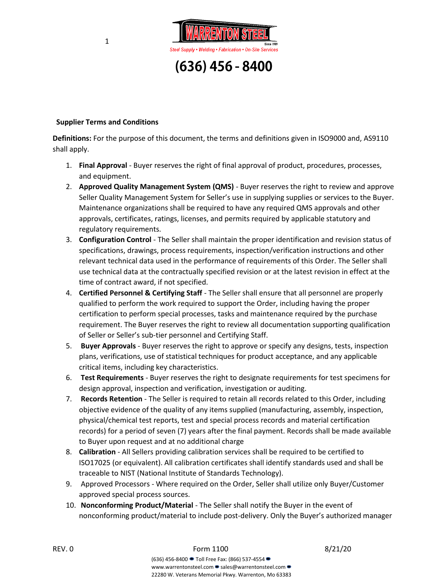

## **Supplier Terms and Conditions**

**Definitions:** For the purpose of this document, the terms and definitions given in ISO9000 and, AS9110 shall apply.

- 1. **Final Approval** Buyer reserves the right of final approval of product, procedures, processes, and equipment.
- 2. **Approved Quality Management System (QMS)** Buyer reserves the right to review and approve Seller Quality Management System for Seller's use in supplying supplies or services to the Buyer. Maintenance organizations shall be required to have any required QMS approvals and other approvals, certificates, ratings, licenses, and permits required by applicable statutory and regulatory requirements.
- 3. **Configuration Control** The Seller shall maintain the proper identification and revision status of specifications, drawings, process requirements, inspection/verification instructions and other relevant technical data used in the performance of requirements of this Order. The Seller shall use technical data at the contractually specified revision or at the latest revision in effect at the time of contract award, if not specified.
- 4. **Certified Personnel & Certifying Staff** The Seller shall ensure that all personnel are properly qualified to perform the work required to support the Order, including having the proper certification to perform special processes, tasks and maintenance required by the purchase requirement. The Buyer reserves the right to review all documentation supporting qualification of Seller or Seller's sub-tier personnel and Certifying Staff.
- 5. **Buyer Approvals** Buyer reserves the right to approve or specify any designs, tests, inspection plans, verifications, use of statistical techniques for product acceptance, and any applicable critical items, including key characteristics.
- 6. **Test Requirements** Buyer reserves the right to designate requirements for test specimens for design approval, inspection and verification, investigation or auditing.
- 7. **Records Retention**  The Seller is required to retain all records related to this Order, including objective evidence of the quality of any items supplied (manufacturing, assembly, inspection, physical/chemical test reports, test and special process records and material certification records) for a period of seven (7) years after the final payment. Records shall be made available to Buyer upon request and at no additional charge
- 8. **Calibration**  All Sellers providing calibration services shall be required to be certified to ISO17025 (or equivalent). All calibration certificates shall identify standards used and shall be traceable to NIST (National Institute of Standards Technology).
- 9. Approved Processors Where required on the Order, Seller shall utilize only Buyer/Customer approved special process sources.
- 10. **Nonconforming Product/Material** The Seller shall notify the Buyer in the event of nonconforming product/material to include post-delivery. Only the Buyer's authorized manager

REV. 0 6/21/20 **Form 1100** 6/21/20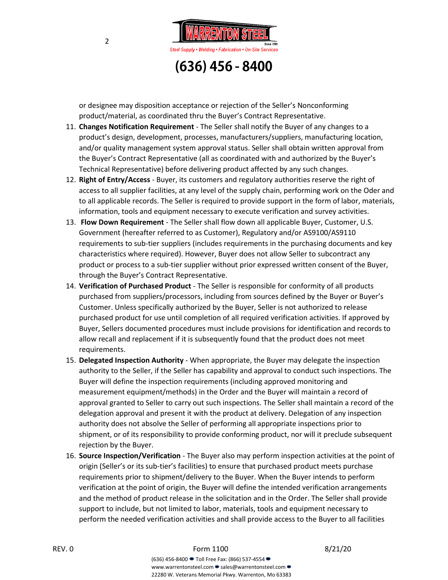

or designee may disposition acceptance or rejection of the Seller's Nonconforming product/material, as coordinated thru the Buyer's Contract Representative.

- 11. **Changes Notification Requirement** The Seller shall notify the Buyer of any changes to a product's design, development, processes, manufacturers/suppliers, manufacturing location, and/or quality management system approval status. Seller shall obtain written approval from the Buyer's Contract Representative (all as coordinated with and authorized by the Buyer's Technical Representative) before delivering product affected by any such changes.
- 12. **Right of Entry/Access** Buyer, its customers and regulatory authorities reserve the right of access to all supplier facilities, at any level of the supply chain, performing work on the Oder and to all applicable records. The Seller is required to provide support in the form of labor, materials, information, tools and equipment necessary to execute verification and survey activities.
- 13. **Flow Down Requirement** The Seller shall flow down all applicable Buyer, Customer, U.S. Government (hereafter referred to as Customer), Regulatory and/or AS9100/AS9110 requirements to sub-tier suppliers (includes requirements in the purchasing documents and key characteristics where required). However, Buyer does not allow Seller to subcontract any product or process to a sub-tier supplier without prior expressed written consent of the Buyer, through the Buyer's Contract Representative.
- 14. **Verification of Purchased Product** The Seller is responsible for conformity of all products purchased from suppliers/processors, including from sources defined by the Buyer or Buyer's Customer. Unless specifically authorized by the Buyer, Seller is not authorized to release purchased product for use until completion of all required verification activities. If approved by Buyer, Sellers documented procedures must include provisions for identification and records to allow recall and replacement if it is subsequently found that the product does not meet requirements.
- 15. **Delegated Inspection Authority** When appropriate, the Buyer may delegate the inspection authority to the Seller, if the Seller has capability and approval to conduct such inspections. The Buyer will define the inspection requirements (including approved monitoring and measurement equipment/methods) in the Order and the Buyer will maintain a record of approval granted to Seller to carry out such inspections. The Seller shall maintain a record of the delegation approval and present it with the product at delivery. Delegation of any inspection authority does not absolve the Seller of performing all appropriate inspections prior to shipment, or of its responsibility to provide conforming product, nor will it preclude subsequent rejection by the Buyer.
- 16. **Source Inspection/Verification** The Buyer also may perform inspection activities at the point of origin (Seller's or its sub-tier's facilities) to ensure that purchased product meets purchase requirements prior to shipment/delivery to the Buyer. When the Buyer intends to perform verification at the point of origin, the Buyer will define the intended verification arrangements and the method of product release in the solicitation and in the Order. The Seller shall provide support to include, but not limited to labor, materials, tools and equipment necessary to perform the needed verification activities and shall provide access to the Buyer to all facilities

## REV. 0 6/21/20 **Form 1100** 6/21/20

(636) 456-8400 Toll Free Fax: (866) 537-4554 www.warrentonsteel.com • sales@warrentonsteel.com • 22280 W. Veterans Memorial Pkwy. Warrenton, Mo 63383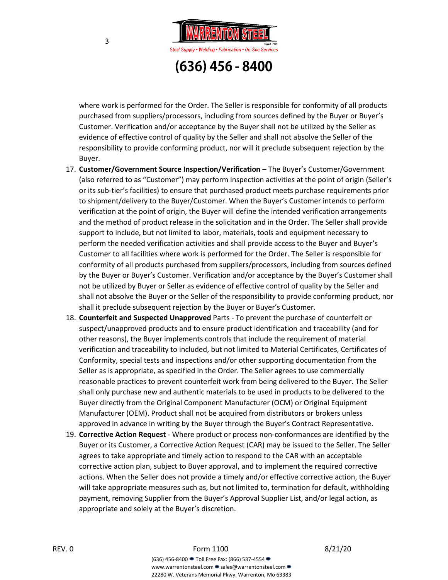

where work is performed for the Order. The Seller is responsible for conformity of all products purchased from suppliers/processors, including from sources defined by the Buyer or Buyer's Customer. Verification and/or acceptance by the Buyer shall not be utilized by the Seller as evidence of effective control of quality by the Seller and shall not absolve the Seller of the responsibility to provide conforming product, nor will it preclude subsequent rejection by the Buyer.

- 17. **Customer/Government Source Inspection/Verification** The Buyer's Customer/Government (also referred to as "Customer") may perform inspection activities at the point of origin (Seller's or its sub-tier's facilities) to ensure that purchased product meets purchase requirements prior to shipment/delivery to the Buyer/Customer. When the Buyer's Customer intends to perform verification at the point of origin, the Buyer will define the intended verification arrangements and the method of product release in the solicitation and in the Order. The Seller shall provide support to include, but not limited to labor, materials, tools and equipment necessary to perform the needed verification activities and shall provide access to the Buyer and Buyer's Customer to all facilities where work is performed for the Order. The Seller is responsible for conformity of all products purchased from suppliers/processors, including from sources defined by the Buyer or Buyer's Customer. Verification and/or acceptance by the Buyer's Customer shall not be utilized by Buyer or Seller as evidence of effective control of quality by the Seller and shall not absolve the Buyer or the Seller of the responsibility to provide conforming product, nor shall it preclude subsequent rejection by the Buyer or Buyer's Customer.
- 18. **Counterfeit and Suspected Unapproved** Parts To prevent the purchase of counterfeit or suspect/unapproved products and to ensure product identification and traceability (and for other reasons), the Buyer implements controls that include the requirement of material verification and traceability to included, but not limited to Material Certificates, Certificates of Conformity, special tests and inspections and/or other supporting documentation from the Seller as is appropriate, as specified in the Order. The Seller agrees to use commercially reasonable practices to prevent counterfeit work from being delivered to the Buyer. The Seller shall only purchase new and authentic materials to be used in products to be delivered to the Buyer directly from the Original Component Manufacturer (OCM) or Original Equipment Manufacturer (OEM). Product shall not be acquired from distributors or brokers unless approved in advance in writing by the Buyer through the Buyer's Contract Representative.
- 19. **Corrective Action Request** Where product or process non-conformances are identified by the Buyer or its Customer, a Corrective Action Request (CAR) may be issued to the Seller. The Seller agrees to take appropriate and timely action to respond to the CAR with an acceptable corrective action plan, subject to Buyer approval, and to implement the required corrective actions. When the Seller does not provide a timely and/or effective corrective action, the Buyer will take appropriate measures such as, but not limited to, termination for default, withholding payment, removing Supplier from the Buyer's Approval Supplier List, and/or legal action, as appropriate and solely at the Buyer's discretion.

www.warrentonsteel.com • sales@warrentonsteel.com • 22280 W. Veterans Memorial Pkwy. Warrenton, Mo 63383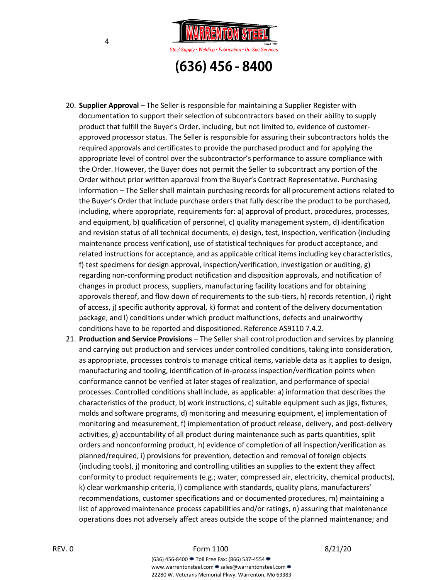

- 20. **Supplier Approval** The Seller is responsible for maintaining a Supplier Register with documentation to support their selection of subcontractors based on their ability to supply product that fulfill the Buyer's Order, including, but not limited to, evidence of customerapproved processor status. The Seller is responsible for assuring their subcontractors holds the required approvals and certificates to provide the purchased product and for applying the appropriate level of control over the subcontractor's performance to assure compliance with the Order. However, the Buyer does not permit the Seller to subcontract any portion of the Order without prior written approval from the Buyer's Contract Representative. Purchasing Information – The Seller shall maintain purchasing records for all procurement actions related to the Buyer's Order that include purchase orders that fully describe the product to be purchased, including, where appropriate, requirements for: a) approval of product, procedures, processes, and equipment, b) qualification of personnel, c) quality management system, d) identification and revision status of all technical documents, e) design, test, inspection, verification (including maintenance process verification), use of statistical techniques for product acceptance, and related instructions for acceptance, and as applicable critical items including key characteristics, f) test specimens for design approval, inspection/verification, investigation or auditing, g) regarding non-conforming product notification and disposition approvals, and notification of changes in product process, suppliers, manufacturing facility locations and for obtaining approvals thereof, and flow down of requirements to the sub-tiers, h) records retention, i) right of access, j) specific authority approval, k) format and content of the delivery documentation package, and l) conditions under which product malfunctions, defects and unairworthy conditions have to be reported and dispositioned. Reference AS9110 7.4.2.
- 21. **Production and Service Provisions** The Seller shall control production and services by planning and carrying out production and services under controlled conditions, taking into consideration, as appropriate, processes controls to manage critical items, variable data as it applies to design, manufacturing and tooling, identification of in-process inspection/verification points when conformance cannot be verified at later stages of realization, and performance of special processes. Controlled conditions shall include, as applicable: a) information that describes the characteristics of the product, b) work instructions, c) suitable equipment such as jigs, fixtures, molds and software programs, d) monitoring and measuring equipment, e) implementation of monitoring and measurement, f) implementation of product release, delivery, and post-delivery activities, g) accountability of all product during maintenance such as parts quantities, split orders and nonconforming product, h) evidence of completion of all inspection/verification as planned/required, i) provisions for prevention, detection and removal of foreign objects (including tools), j) monitoring and controlling utilities an supplies to the extent they affect conformity to product requirements (e.g.; water, compressed air, electricity, chemical products), k) clear workmanship criteria, l) compliance with standards, quality plans, manufacturers' recommendations, customer specifications and or documented procedures, m) maintaining a list of approved maintenance process capabilities and/or ratings, n) assuring that maintenance operations does not adversely affect areas outside the scope of the planned maintenance; and

www.warrentonsteel.com • sales@warrentonsteel.com • 22280 W. Veterans Memorial Pkwy. Warrenton, Mo 63383